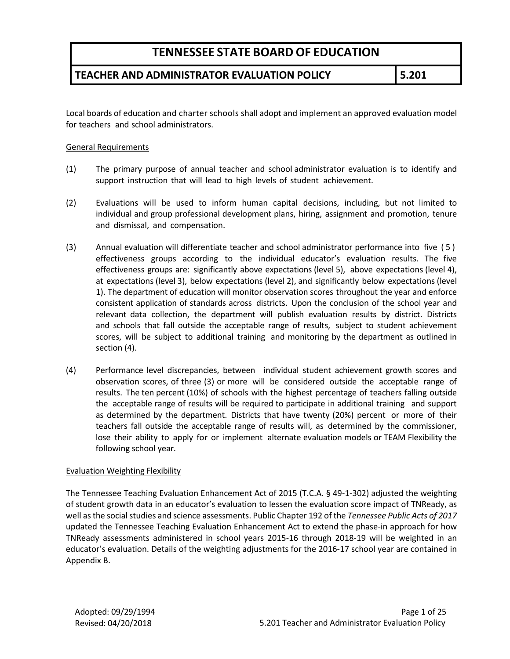### **TEACHER AND ADMINISTRATOR EVALUATION POLICY 5.201**

Local boards of education and charter schools shall adopt and implement an approved evaluation model for teachers and school administrators.

#### General Requirements

- (1) The primary purpose of annual teacher and school administrator evaluation is to identify and support instruction that will lead to high levels of student achievement.
- (2) Evaluations will be used to inform human capital decisions, including, but not limited to individual and group professional development plans, hiring, assignment and promotion, tenure and dismissal, and compensation.
- (3) Annual evaluation will differentiate teacher and school administrator performance into five (5) effectiveness groups according to the individual educator's evaluation results. The five effectiveness groups are: significantly above expectations (level 5), above expectations (level 4), at expectations (level 3), below expectations (level 2), and significantly below expectations (level 1). The department of education will monitor observation scores throughout the year and enforce consistent application of standards across districts. Upon the conclusion of the school year and relevant data collection, the department will publish evaluation results by district. Districts and schools that fall outside the acceptable range of results, subject to student achievement scores, will be subject to additional training and monitoring by the department as outlined in section (4).
- (4) Performance level discrepancies, between individual student achievement growth scores and observation scores, of three (3) or more will be considered outside the acceptable range of results. The ten percent (10%) of schools with the highest percentage of teachers falling outside the acceptable range of results will be required to participate in additional training and support as determined by the department. Districts that have twenty (20%) percent or more of their teachers fall outside the acceptable range of results will, as determined by the commissioner, lose their ability to apply for or implement alternate evaluation models or TEAM Flexibility the following school year.

#### Evaluation Weighting Flexibility

The Tennessee Teaching Evaluation Enhancement Act of 2015 (T.C.A. § 49-1-302) adjusted the weighting of student growth data in an educator's evaluation to lessen the evaluation score impact of TNReady, as well asthe social studies and science assessments. Public Chapter 192 of the *Tennessee Public Acts of 2017* updated the Tennessee Teaching Evaluation Enhancement Act to extend the phase-in approach for how TNReady assessments administered in school years 2015-16 through 2018-19 will be weighted in an educator's evaluation. Details of the weighting adjustments for the 2016-17 school year are contained in Appendix B.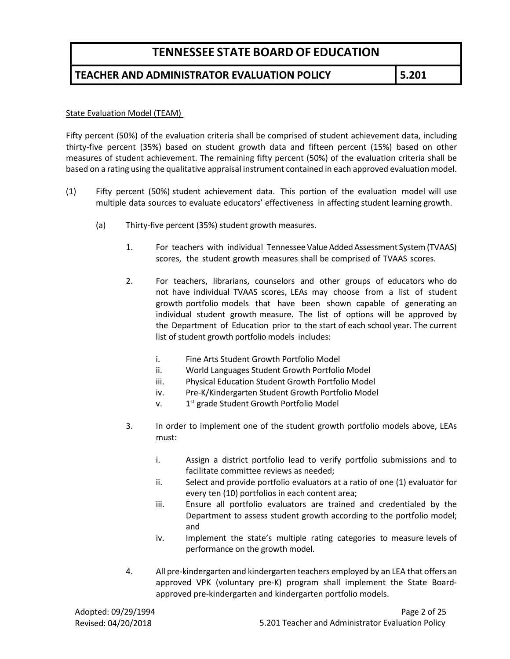#### **TEACHER AND ADMINISTRATOR EVALUATION POLICY 5.201**

#### State Evaluation Model (TEAM)

Fifty percent (50%) of the evaluation criteria shall be comprised of student achievement data, including thirty-five percent (35%) based on student growth data and fifteen percent (15%) based on other measures of student achievement. The remaining fifty percent (50%) of the evaluation criteria shall be based on a rating using the qualitative appraisal instrument contained in each approved evaluation model.

- (1) Fifty percent (50%) student achievement data. This portion of the evaluation model will use multiple data sources to evaluate educators' effectiveness in affecting student learning growth.
	- (a) Thirty-five percent (35%) student growth measures.
		- 1. For teachers with individual Tennessee Value Added Assessment System (TVAAS) scores, the student growth measures shall be comprised of TVAAS scores.
		- 2. For teachers, librarians, counselors and other groups of educators who do not have individual TVAAS scores, LEAs may choose from a list of student growth portfolio models that have been shown capable of generating an individual student growth measure. The list of options will be approved by the Department of Education prior to the start of each school year. The current list of student growth portfolio models includes:
			- i. Fine Arts Student Growth Portfolio Model
			- ii. World Languages Student Growth Portfolio Model
			- iii. Physical Education Student Growth Portfolio Model
			- iv. Pre-K/Kindergarten Student Growth Portfolio Model
			- $v.$  1st grade Student Growth Portfolio Model
		- 3. In order to implement one of the student growth portfolio models above, LEAs must:
			- i. Assign a district portfolio lead to verify portfolio submissions and to facilitate committee reviews as needed;
			- ii. Select and provide portfolio evaluators at a ratio of one (1) evaluator for every ten (10) portfolios in each content area;
			- iii. Ensure all portfolio evaluators are trained and credentialed by the Department to assess student growth according to the portfolio model; and
			- iv. Implement the state's multiple rating categories to measure levels of performance on the growth model.
		- 4. All pre-kindergarten and kindergarten teachers employed by an LEA that offers an approved VPK (voluntary pre-K) program shall implement the State Boardapproved pre-kindergarten and kindergarten portfolio models.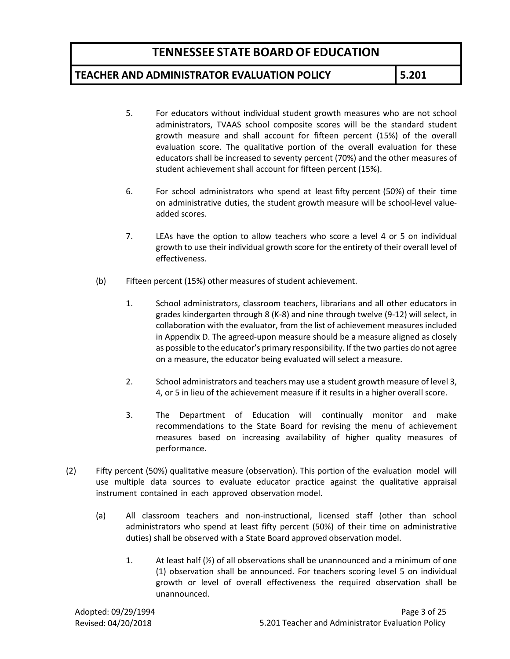#### **TEACHER AND ADMINISTRATOR EVALUATION POLICY 5.201**

- 5. For educators without individual student growth measures who are not school administrators, TVAAS school composite scores will be the standard student growth measure and shall account for fifteen percent (15%) of the overall evaluation score. The qualitative portion of the overall evaluation for these educators shall be increased to seventy percent (70%) and the other measures of student achievement shall account for fifteen percent (15%).
- 6. For school administrators who spend at least fifty percent (50%) of their time on administrative duties, the student growth measure will be school-level valueadded scores.
- 7. LEAs have the option to allow teachers who score a level 4 or 5 on individual growth to use their individual growth score for the entirety of their overall level of effectiveness.
- (b) Fifteen percent (15%) other measures of student achievement.
	- 1. School administrators, classroom teachers, librarians and all other educators in grades kindergarten through 8 (K-8) and nine through twelve (9-12) will select, in collaboration with the evaluator, from the list of achievement measures included in Appendix D. The agreed-upon measure should be a measure aligned as closely as possible to the educator's primary responsibility. If the two parties do not agree on a measure, the educator being evaluated will select a measure.
	- 2. School administrators and teachers may use a student growth measure of level 3, 4, or 5 in lieu of the achievement measure if it results in a higher overall score.
	- 3. The Department of Education will continually monitor and make recommendations to the State Board for revising the menu of achievement measures based on increasing availability of higher quality measures of performance.
- (2) Fifty percent (50%) qualitative measure (observation). This portion of the evaluation model will use multiple data sources to evaluate educator practice against the qualitative appraisal instrument contained in each approved observation model.
	- (a) All classroom teachers and non-instructional, licensed staff (other than school administrators who spend at least fifty percent (50%) of their time on administrative duties) shall be observed with a State Board approved observation model.
		- 1. At least half  $\left(\frac{1}{2}\right)$  of all observations shall be unannounced and a minimum of one (1) observation shall be announced. For teachers scoring level 5 on individual growth or level of overall effectiveness the required observation shall be unannounced.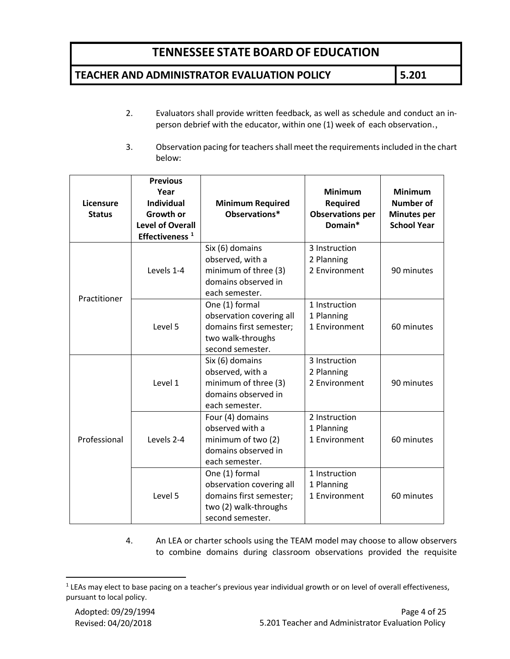### **TEACHER AND ADMINISTRATOR EVALUATION POLICY 5.201**

- 2. Evaluators shall provide written feedback, as well as schedule and conduct an inperson debrief with the educator, within one (1) week of each observation.,
- 3. Observation pacing for teachers shall meet the requirements included in the chart below:

| <b>Licensure</b><br><b>Status</b> | <b>Previous</b><br>Year<br><b>Individual</b><br>Growth or<br><b>Level of Overall</b><br>Effectiveness <sup>1</sup> | <b>Minimum Required</b><br>Observations*                                                                           | <b>Minimum</b><br><b>Required</b><br><b>Observations per</b><br>Domain* | <b>Minimum</b><br><b>Number of</b><br><b>Minutes per</b><br><b>School Year</b> |
|-----------------------------------|--------------------------------------------------------------------------------------------------------------------|--------------------------------------------------------------------------------------------------------------------|-------------------------------------------------------------------------|--------------------------------------------------------------------------------|
|                                   | Levels 1-4                                                                                                         | Six (6) domains<br>observed, with a<br>minimum of three (3)<br>domains observed in<br>each semester.               | 3 Instruction<br>2 Planning<br>2 Environment                            | 90 minutes                                                                     |
| Practitioner                      | Level 5                                                                                                            | One (1) formal<br>observation covering all<br>domains first semester;<br>two walk-throughs<br>second semester.     | 1 Instruction<br>1 Planning<br>1 Environment                            | 60 minutes                                                                     |
|                                   | Level 1                                                                                                            | Six (6) domains<br>observed, with a<br>minimum of three (3)<br>domains observed in<br>each semester.               | 3 Instruction<br>2 Planning<br>2 Environment                            | 90 minutes                                                                     |
| Professional                      | Levels 2-4                                                                                                         | Four (4) domains<br>observed with a<br>minimum of two (2)<br>domains observed in<br>each semester.                 | 2 Instruction<br>1 Planning<br>1 Environment                            | 60 minutes                                                                     |
|                                   | Level 5                                                                                                            | One (1) formal<br>observation covering all<br>domains first semester;<br>two (2) walk-throughs<br>second semester. | 1 Instruction<br>1 Planning<br>1 Environment                            | 60 minutes                                                                     |

4. An LEA or charter schools using the TEAM model may choose to allow observers to combine domains during classroom observations provided the requisite

<span id="page-3-0"></span> $1$  LEAs may elect to base pacing on a teacher's previous year individual growth or on level of overall effectiveness, pursuant to local policy.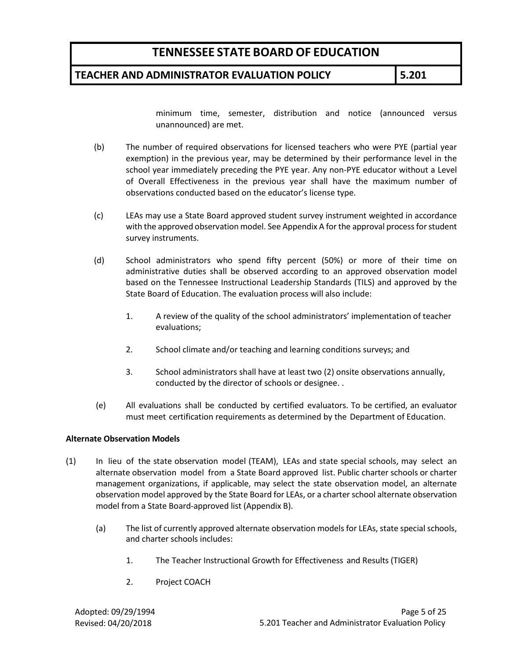#### **TEACHER AND ADMINISTRATOR EVALUATION POLICY 5.201**

minimum time, semester, distribution and notice (announced versus unannounced) are met.

- (b) The number of required observations for licensed teachers who were PYE (partial year exemption) in the previous year, may be determined by their performance level in the school year immediately preceding the PYE year. Any non-PYE educator without a Level of Overall Effectiveness in the previous year shall have the maximum number of observations conducted based on the educator's license type.
- (c) LEAs may use a State Board approved student survey instrument weighted in accordance with the approved observation model. See Appendix A for the approval process for student survey instruments.
- (d) School administrators who spend fifty percent (50%) or more of their time on administrative duties shall be observed according to an approved observation model based on the Tennessee Instructional Leadership Standards (TILS) and approved by the State Board of Education. The evaluation process will also include:
	- 1. A review of the quality of the school administrators' implementation of teacher evaluations;
	- 2. School climate and/or teaching and learning conditions surveys; and
	- 3. School administrators shall have at least two (2) onsite observations annually, conducted by the director of schools or designee. .
- (e) All evaluations shall be conducted by certified evaluators. To be certified, an evaluator must meet certification requirements as determined by the Department of Education.

#### **Alternate Observation Models**

- (1) In lieu of the state observation model (TEAM), LEAs and state special schools, may select an alternate observation model from a State Board approved list. Public charter schools or charter management organizations, if applicable, may select the state observation model, an alternate observation model approved by the State Board for LEAs, or a charter school alternate observation model from a State Board-approved list (Appendix B).
	- (a) The list of currently approved alternate observation models for LEAs, state special schools, and charter schools includes:
		- 1. The Teacher Instructional Growth for Effectiveness and Results (TIGER)
		- 2. Project COACH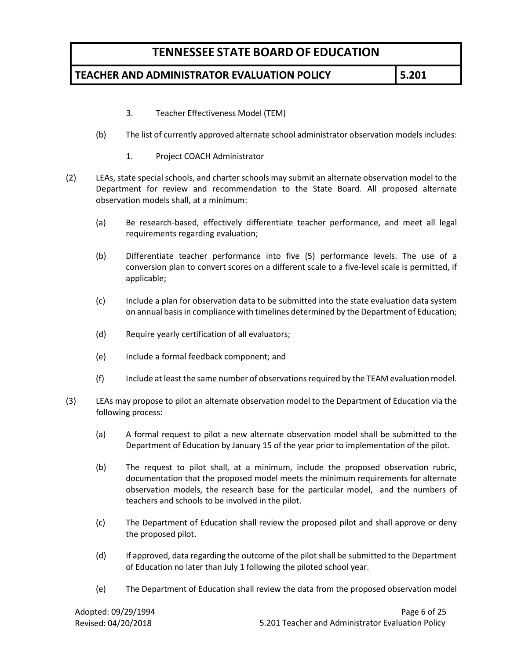### **TEACHER AND ADMINISTRATOR EVALUATION POLICY 5.201**

- 3. Teacher Effectiveness Model (TEM)
- (b) The list of currently approved alternate school administrator observation models includes:
	- 1. Project COACH Administrator
- (2) LEAs, state special schools, and charter schools may submit an alternate observation model to the Department for review and recommendation to the State Board. All proposed alternate observation models shall, at a minimum:
	- (a) Be research-based, effectively differentiate teacher performance, and meet all legal requirements regarding evaluation;
	- (b) Differentiate teacher performance into five (5) performance levels. The use of a conversion plan to convert scores on a different scale to a five-level scale is permitted, if applicable;
	- (c) Include a plan for observation data to be submitted into the state evaluation data system on annual basis in compliance with timelines determined by the Department of Education;
	- (d) Require yearly certification of all evaluators;
	- (e) Include a formal feedback component; and
	- (f) Include at least the same number of observations required by the TEAM evaluation model.
- (3) LEAs may propose to pilot an alternate observation model to the Department of Education via the following process:
	- (a) A formal request to pilot a new alternate observation model shall be submitted to the Department of Education by January 15 of the year prior to implementation of the pilot.
	- (b) The request to pilot shall, at a minimum, include the proposed observation rubric, documentation that the proposed model meets the minimum requirements for alternate observation models, the research base for the particular model, and the numbers of teachers and schools to be involved in the pilot.
	- (c) The Department of Education shall review the proposed pilot and shall approve or deny the proposed pilot.
	- (d) If approved, data regarding the outcome of the pilot shall be submitted to the Department of Education no later than July 1 following the piloted school year.
	- (e) The Department of Education shall review the data from the proposed observation model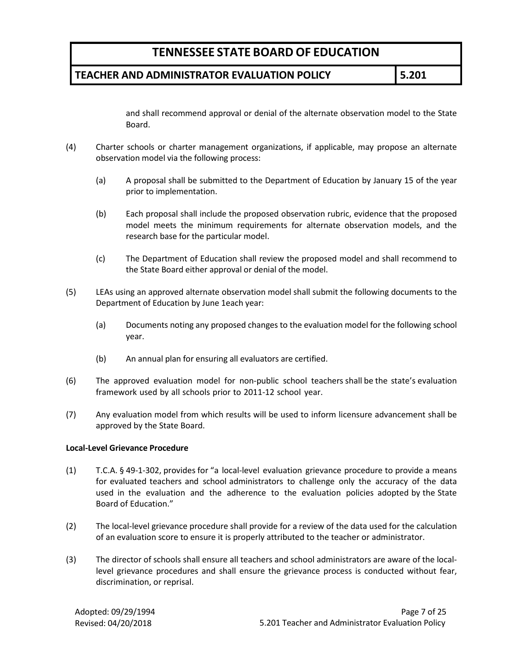#### **TEACHER AND ADMINISTRATOR EVALUATION POLICY 5.201**

and shall recommend approval or denial of the alternate observation model to the State Board.

- (4) Charter schools or charter management organizations, if applicable, may propose an alternate observation model via the following process:
	- (a) A proposal shall be submitted to the Department of Education by January 15 of the year prior to implementation.
	- (b) Each proposal shall include the proposed observation rubric, evidence that the proposed model meets the minimum requirements for alternate observation models, and the research base for the particular model.
	- (c) The Department of Education shall review the proposed model and shall recommend to the State Board either approval or denial of the model.
- (5) LEAs using an approved alternate observation model shall submit the following documents to the Department of Education by June 1each year:
	- (a) Documents noting any proposed changes to the evaluation model for the following school year.
	- (b) An annual plan for ensuring all evaluators are certified.
- (6) The approved evaluation model for non-public school teachers shall be the state's evaluation framework used by all schools prior to 2011-12 school year.
- (7) Any evaluation model from which results will be used to inform licensure advancement shall be approved by the State Board.

#### **Local-Level Grievance Procedure**

- (1) T.C.A. § 49-1-302, provides for "a local-level evaluation grievance procedure to provide a means for evaluated teachers and school administrators to challenge only the accuracy of the data used in the evaluation and the adherence to the evaluation policies adopted by the State Board of Education."
- (2) The local-level grievance procedure shall provide for a review of the data used for the calculation of an evaluation score to ensure it is properly attributed to the teacher or administrator.
- (3) The director of schools shall ensure all teachers and school administrators are aware of the locallevel grievance procedures and shall ensure the grievance process is conducted without fear, discrimination, or reprisal.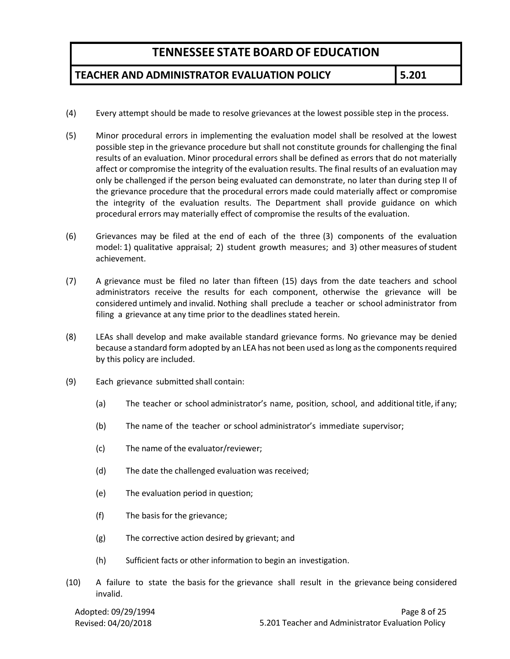### **TEACHER AND ADMINISTRATOR EVALUATION POLICY 5.201**

- (4) Every attempt should be made to resolve grievances at the lowest possible step in the process.
- (5) Minor procedural errors in implementing the evaluation model shall be resolved at the lowest possible step in the grievance procedure but shall not constitute grounds for challenging the final results of an evaluation. Minor procedural errors shall be defined as errors that do not materially affect or compromise the integrity of the evaluation results. The final results of an evaluation may only be challenged if the person being evaluated can demonstrate, no later than during step II of the grievance procedure that the procedural errors made could materially affect or compromise the integrity of the evaluation results. The Department shall provide guidance on which procedural errors may materially effect of compromise the results of the evaluation.
- (6) Grievances may be filed at the end of each of the three (3) components of the evaluation model: 1) qualitative appraisal; 2) student growth measures; and 3) other measures of student achievement.
- (7) A grievance must be filed no later than fifteen (15) days from the date teachers and school administrators receive the results for each component, otherwise the grievance will be considered untimely and invalid. Nothing shall preclude a teacher or school administrator from filing a grievance at any time prior to the deadlines stated herein.
- (8) LEAs shall develop and make available standard grievance forms. No grievance may be denied because a standard form adopted by an LEA has not been used as long as the components required by this policy are included.
- (9) Each grievance submitted shall contain:
	- (a) The teacher or school administrator's name, position, school, and additional title, if any;
	- (b) The name of the teacher or school administrator's immediate supervisor;
	- (c) The name of the evaluator/reviewer;
	- (d) The date the challenged evaluation was received;
	- (e) The evaluation period in question;
	- (f) The basis for the grievance;
	- (g) The corrective action desired by grievant; and
	- (h) Sufficient facts or other information to begin an investigation.
- (10) A failure to state the basis for the grievance shall result in the grievance being considered invalid.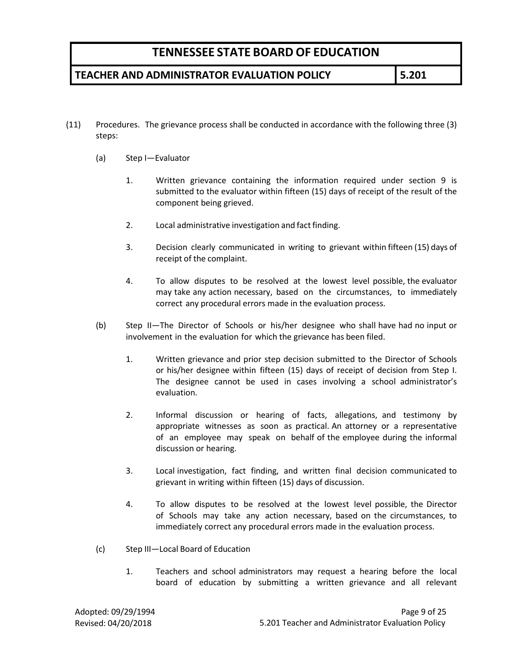### **TEACHER AND ADMINISTRATOR EVALUATION POLICY 5.201**

- (11) Procedures. The grievance process shall be conducted in accordance with the following three (3) steps:
	- (a) Step I—Evaluator
		- 1. Written grievance containing the information required under section 9 is submitted to the evaluator within fifteen (15) days of receipt of the result of the component being grieved.
		- 2. Local administrative investigation and fact finding.
		- 3. Decision clearly communicated in writing to grievant within fifteen (15) days of receipt of the complaint.
		- 4. To allow disputes to be resolved at the lowest level possible, the evaluator may take any action necessary, based on the circumstances, to immediately correct any procedural errors made in the evaluation process.
	- (b) Step II—The Director of Schools or his/her designee who shall have had no input or involvement in the evaluation for which the grievance has been filed.
		- 1. Written grievance and prior step decision submitted to the Director of Schools or his/her designee within fifteen (15) days of receipt of decision from Step I. The designee cannot be used in cases involving a school administrator's evaluation.
		- 2. Informal discussion or hearing of facts, allegations, and testimony by appropriate witnesses as soon as practical. An attorney or a representative of an employee may speak on behalf of the employee during the informal discussion or hearing.
		- 3. Local investigation, fact finding, and written final decision communicated to grievant in writing within fifteen (15) days of discussion.
		- 4. To allow disputes to be resolved at the lowest level possible, the Director of Schools may take any action necessary, based on the circumstances, to immediately correct any procedural errors made in the evaluation process.
	- (c) Step III—Local Board of Education
		- 1. Teachers and school administrators may request a hearing before the local board of education by submitting a written grievance and all relevant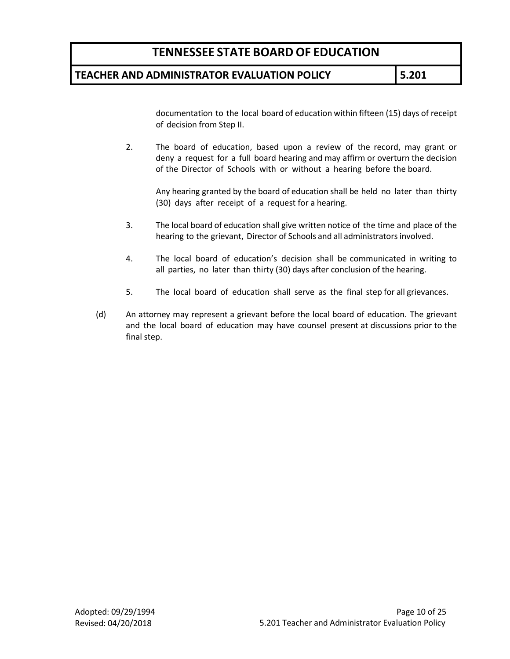#### **TEACHER AND ADMINISTRATOR EVALUATION POLICY 5.201**

documentation to the local board of education within fifteen (15) days of receipt of decision from Step II.

2. The board of education, based upon a review of the record, may grant or deny a request for a full board hearing and may affirm or overturn the decision of the Director of Schools with or without a hearing before the board.

Any hearing granted by the board of education shall be held no later than thirty (30) days after receipt of a request for a hearing.

- 3. The local board of education shall give written notice of the time and place of the hearing to the grievant, Director of Schools and all administrators involved.
- 4. The local board of education's decision shall be communicated in writing to all parties, no later than thirty (30) days after conclusion of the hearing.
- 5. The local board of education shall serve as the final step for all grievances.
- (d) An attorney may represent a grievant before the local board of education. The grievant and the local board of education may have counsel present at discussions prior to the final step.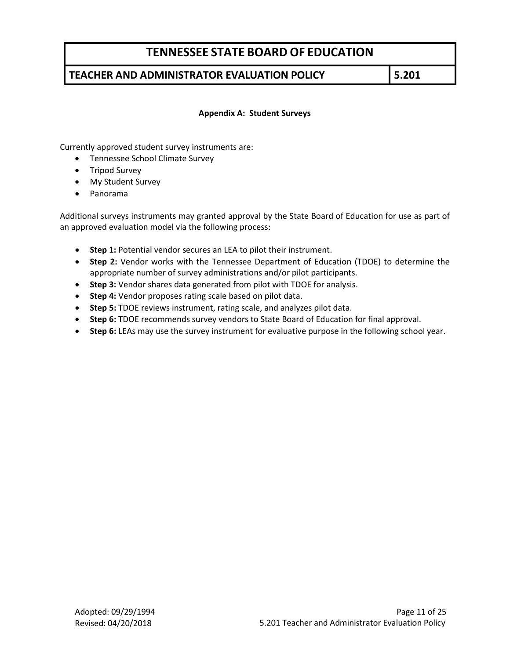### **TEACHER AND ADMINISTRATOR EVALUATION POLICY 5.201**

#### **Appendix A: Student Surveys**

Currently approved student survey instruments are:

- Tennessee School Climate Survey
- Tripod Survey
- My Student Survey
- Panorama

Additional surveys instruments may granted approval by the State Board of Education for use as part of an approved evaluation model via the following process:

- **Step 1:** Potential vendor secures an LEA to pilot their instrument.
- **Step 2:** Vendor works with the Tennessee Department of Education (TDOE) to determine the appropriate number of survey administrations and/or pilot participants.
- **Step 3:** Vendor shares data generated from pilot with TDOE for analysis.
- **Step 4:** Vendor proposes rating scale based on pilot data.
- **Step 5:** TDOE reviews instrument, rating scale, and analyzes pilot data.
- **Step 6:** TDOE recommends survey vendors to State Board of Education for final approval.
- **Step 6:** LEAs may use the survey instrument for evaluative purpose in the following school year.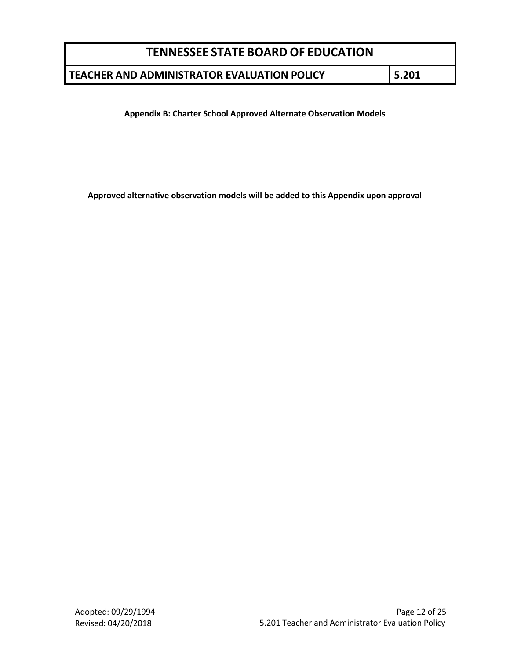### **TEACHER AND ADMINISTRATOR EVALUATION POLICY 5.201**

**Appendix B: Charter School Approved Alternate Observation Models**

**Approved alternative observation models will be added to this Appendix upon approval**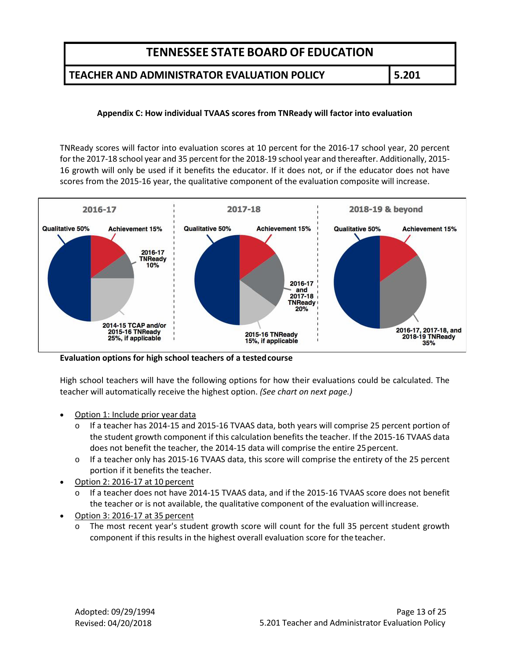#### **TEACHER AND ADMINISTRATOR EVALUATION POLICY 5.201**

#### **Appendix C: How individual TVAAS scores from TNReady will factor into evaluation**

TNReady scores will factor into evaluation scores at 10 percent for the 2016-17 school year, 20 percent for the 2017-18 school year and 35 percent for the 2018-19 school year and thereafter. Additionally, 2015- 16 growth will only be used if it benefits the educator. If it does not, or if the educator does not have scores from the 2015-16 year, the qualitative component of the evaluation composite will increase.



**Evaluation options for high school teachers of a testedcourse**

High school teachers will have the following options for how their evaluations could be calculated. The teacher will automatically receive the highest option. *(See chart on next page.)*

- Option 1: Include prior year data
	- o If a teacher has 2014-15 and 2015-16 TVAAS data, both years will comprise 25 percent portion of the student growth component if this calculation benefits the teacher. If the 2015-16 TVAAS data does not benefit the teacher, the 2014-15 data will comprise the entire 25percent.
	- o If a teacher only has 2015-16 TVAAS data, this score will comprise the entirety of the 25 percent portion if it benefits the teacher.
- Option 2: 2016-17 at 10 percent
	- o If a teacher does not have 2014-15 TVAAS data, and if the 2015-16 TVAAS score does not benefit the teacher or is not available, the qualitative component of the evaluation willincrease.
- Option 3: 2016-17 at 35 percent
	- o The most recent year's student growth score will count for the full 35 percent student growth component if this results in the highest overall evaluation score for the teacher.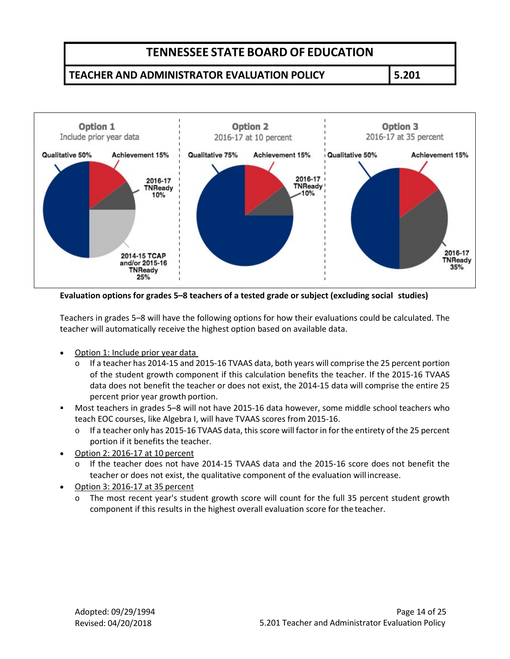### **TEACHER AND ADMINISTRATOR EVALUATION POLICY 5.201**



**Evaluation options for grades 5–8 teachers of a tested grade or subject (excluding social studies)**

Teachers in grades 5–8 will have the following options for how their evaluations could be calculated. The teacher will automatically receive the highest option based on available data.

- Option 1: Include prior year data
	- o If a teacher has 2014-15 and 2015-16 TVAAS data, both years will comprise the 25 percent portion of the student growth component if this calculation benefits the teacher. If the 2015-16 TVAAS data does not benefit the teacher or does not exist, the 2014-15 data will comprise the entire 25 percent prior year growth portion.
- Most teachers in grades 5–8 will not have 2015-16 data however, some middle school teachers who teach EOC courses, like Algebra I, will have TVAAS scores from 2015-16.
	- If a teacher only has 2015-16 TVAAS data, this score will factor in for the entirety of the 25 percent portion if it benefits the teacher.
- Option 2: 2016-17 at 10 percent
	- o If the teacher does not have 2014-15 TVAAS data and the 2015-16 score does not benefit the teacher or does not exist, the qualitative component of the evaluation will increase.
- Option 3: 2016-17 at 35 percent
	- The most recent year's student growth score will count for the full 35 percent student growth component if this results in the highest overall evaluation score for the teacher.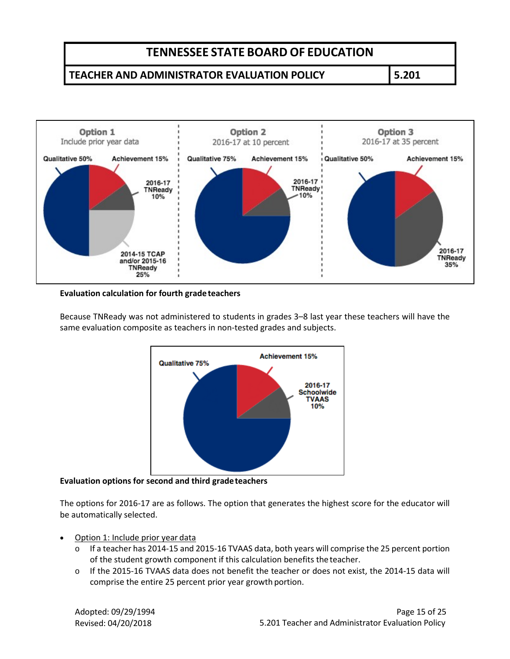### **TEACHER AND ADMINISTRATOR EVALUATION POLICY 5.201**



#### **Evaluation calculation for fourth gradeteachers**

Because TNReady was not administered to students in grades 3–8 last year these teachers will have the same evaluation composite as teachers in non-tested grades and subjects.



**Evaluation options for second and third gradeteachers**

The options for 2016-17 are as follows. The option that generates the highest score for the educator will be automatically selected.

- Option 1: Include prior year data
	- o If a teacher has 2014-15 and 2015-16 TVAAS data, both years will comprise the 25 percent portion of the student growth component if this calculation benefits theteacher.
	- o If the 2015-16 TVAAS data does not benefit the teacher or does not exist, the 2014-15 data will comprise the entire 25 percent prior year growth portion.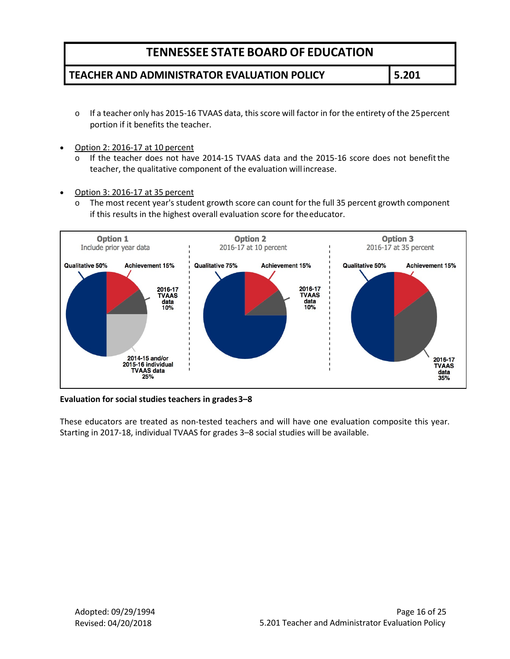### **TEACHER AND ADMINISTRATOR EVALUATION POLICY 5.201**

- $\circ$  If a teacher only has 2015-16 TVAAS data, this score will factor in for the entirety of the 25 percent portion if it benefits the teacher.
- Option 2: 2016-17 at 10 percent
	- o If the teacher does not have 2014-15 TVAAS data and the 2015-16 score does not benefitthe teacher, the qualitative component of the evaluation will increase.
- Option 3: 2016-17 at 35 percent
	- o The most recent year's student growth score can count for the full 35 percent growth component if this results in the highest overall evaluation score for theeducator.



**Evaluation for social studies teachers in grades3–8**

These educators are treated as non-tested teachers and will have one evaluation composite this year. Starting in 2017-18, individual TVAAS for grades 3–8 social studies will be available.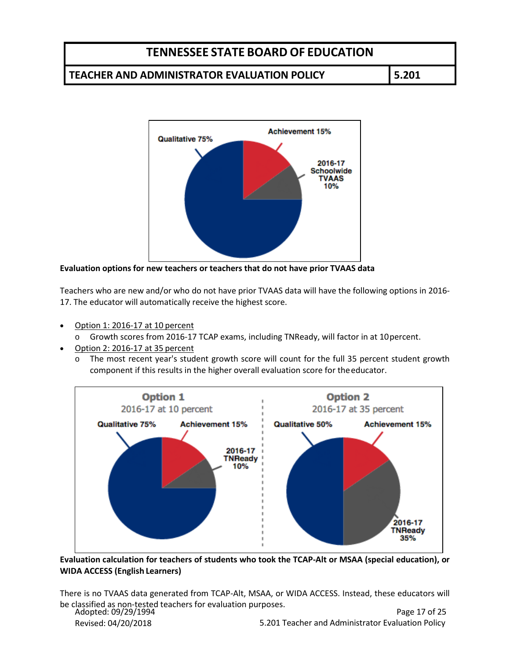### **TEACHER AND ADMINISTRATOR EVALUATION POLICY 5.201**



**Evaluation options for new teachers or teachers that do not have prior TVAAS data** 

Teachers who are new and/or who do not have prior TVAAS data will have the following options in 2016- 17. The educator will automatically receive the highest score.

- Option 1: 2016-17 at 10 percent
	- o Growth scores from 2016-17 TCAP exams, including TNReady, will factor in at 10percent.
- Option 2: 2016-17 at 35 percent
	- o The most recent year's student growth score will count for the full 35 percent student growth component if this results in the higher overall evaluation score for theeducator.



**Evaluation calculation for teachers of students who took the TCAP-Alt or MSAA (special education), or WIDA ACCESS (English Learners)**

Adopted: 09/29/1994 There is no TVAAS data generated from TCAP-Alt, MSAA, or WIDA ACCESS. Instead, these educators will be classified as non-tested teachers for evaluation purposes.

Revised: 04/20/2018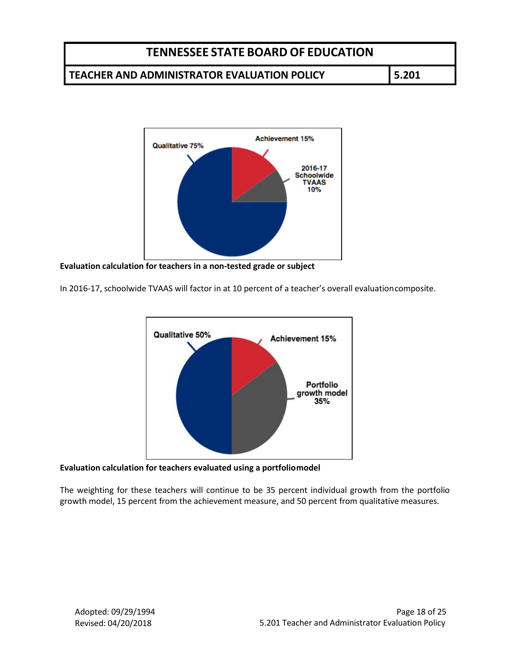### **TEACHER AND ADMINISTRATOR EVALUATION POLICY 5.201**



**Evaluation calculation for teachers in a non-tested grade or subject** 

In 2016-17, schoolwide TVAAS will factor in at 10 percent of a teacher's overall evaluationcomposite.



#### **Evaluation calculation for teachers evaluated using a portfoliomodel**

The weighting for these teachers will continue to be 35 percent individual growth from the portfolio growth model, 15 percent from the achievement measure, and 50 percent from qualitative measures.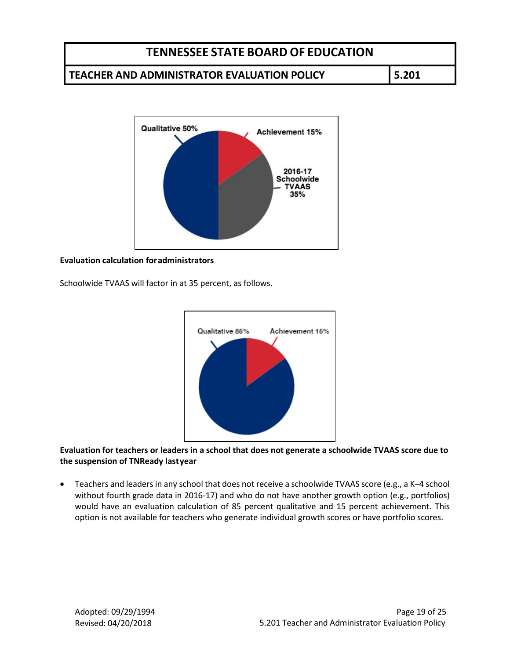#### **TEACHER AND ADMINISTRATOR EVALUATION POLICY 5.201**



#### **Evaluation calculation foradministrators**

Schoolwide TVAAS will factor in at 35 percent, as follows.



**Evaluation for teachers or leaders in a school that does not generate a schoolwide TVAAS score due to the suspension of TNReady lastyear**

• Teachers and leaders in any school that does not receive a schoolwide TVAAS score (e.g., a K-4 school without fourth grade data in 2016-17) and who do not have another growth option (e.g., portfolios) would have an evaluation calculation of 85 percent qualitative and 15 percent achievement. This option is not available for teachers who generate individual growth scores or have portfolio scores.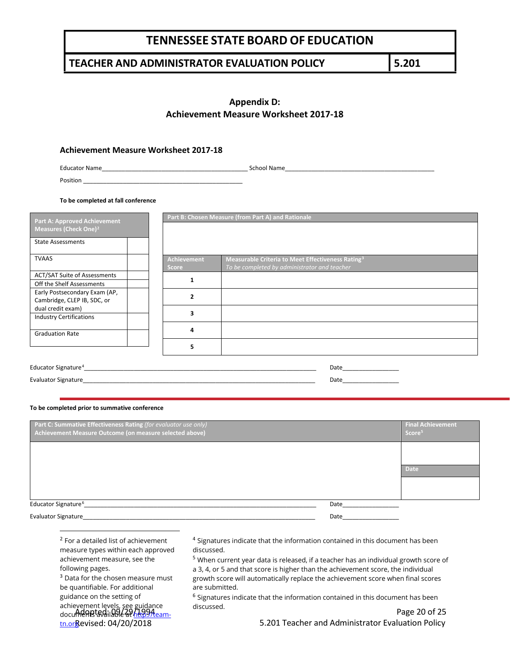### **TEACHER AND ADMINISTRATOR EVALUATION POLICY 5.201**

### **Appendix D: Achievement Measure Worksheet 2017-18**

#### **Achievement Measure Worksheet 2017-18**

Educator Name\_\_\_\_\_\_\_\_\_\_\_\_\_\_\_\_\_\_\_\_\_\_\_\_\_\_\_\_\_\_\_\_\_\_\_\_\_\_\_\_\_\_\_\_ School Name\_\_\_\_\_\_\_\_\_\_\_\_\_\_\_\_\_\_\_\_\_\_\_\_\_\_\_\_\_\_\_\_\_\_\_\_\_\_\_\_\_\_\_\_\_

Position \_\_\_\_\_\_\_\_\_\_\_\_\_\_\_\_\_\_\_\_\_\_\_\_\_\_\_\_\_\_\_\_\_\_\_\_\_\_\_\_\_\_\_\_\_\_\_\_

**To be completed at fall conference**

| <b>Part A: Approved Achievement</b>                          |                                    | Part B: Chosen Measure (from Part A) and Rationale                                                            |
|--------------------------------------------------------------|------------------------------------|---------------------------------------------------------------------------------------------------------------|
| Measures (Check One) <sup>2</sup>                            |                                    |                                                                                                               |
| <b>State Assessments</b>                                     |                                    |                                                                                                               |
| <b>TVAAS</b>                                                 | <b>Achievement</b><br><b>Score</b> | Measurable Criteria to Meet Effectiveness Rating <sup>3</sup><br>To be completed by administrator and teacher |
| <b>ACT/SAT Suite of Assessments</b>                          |                                    |                                                                                                               |
| Off the Shelf Assessments                                    |                                    |                                                                                                               |
| Early Postsecondary Exam (AP,<br>Cambridge, CLEP IB, SDC, or | 2                                  |                                                                                                               |
| dual credit exam)                                            | 3                                  |                                                                                                               |
| <b>Industry Certifications</b>                               |                                    |                                                                                                               |
| <b>Graduation Rate</b>                                       | 4                                  |                                                                                                               |
|                                                              | 5                                  |                                                                                                               |
| Educator Signature <sup>4</sup>                              |                                    | Date                                                                                                          |
| <b>Evaluator Signature</b>                                   |                                    | Date                                                                                                          |

#### **To be completed prior to summative conference**

| Part C: Summative Effectiveness Rating (for evaluator use only)<br>Achievement Measure Outcome (on measure selected above) |      | <b>Final Achievement</b><br>Score <sup>5</sup> |
|----------------------------------------------------------------------------------------------------------------------------|------|------------------------------------------------|
|                                                                                                                            |      |                                                |
|                                                                                                                            |      | <b>Date</b>                                    |
|                                                                                                                            |      |                                                |
| Educator Signature <sup>6</sup>                                                                                            | Date |                                                |
| <b>Evaluator Signature</b>                                                                                                 | Date |                                                |

<span id="page-19-0"></span>

| <sup>2</sup> For a detailed list of achievement |
|-------------------------------------------------|
| measure types within each approved              |
| achievement measure, see the                    |
| following pages.                                |

<span id="page-19-3"></span><span id="page-19-2"></span><span id="page-19-1"></span>achievement levels, see guidance<br>docu**ment sydilaale at http://tear** <u>tn.or</u>&evised: 04/20/2018 <sup>3</sup> Data for the chosen measure must be quantifiable. For additional guidance on the setting of documents available at <u>http://team-</u>

<sup>4</sup> Signatures indicate that the information contained in this document has been discussed.

<sup>5</sup> When current year data is released, if a teacher has an individual growth score of

a 3, 4, or 5 and that score is higher than the achievement score, the individual growth score will automatically replace the achievement score when final scores are submitted.

<sup>6</sup> Signatures indicate that the information contained in this document has been discussed.

Page 20 of 25 5.201 Teacher and Administrator Evaluation Policy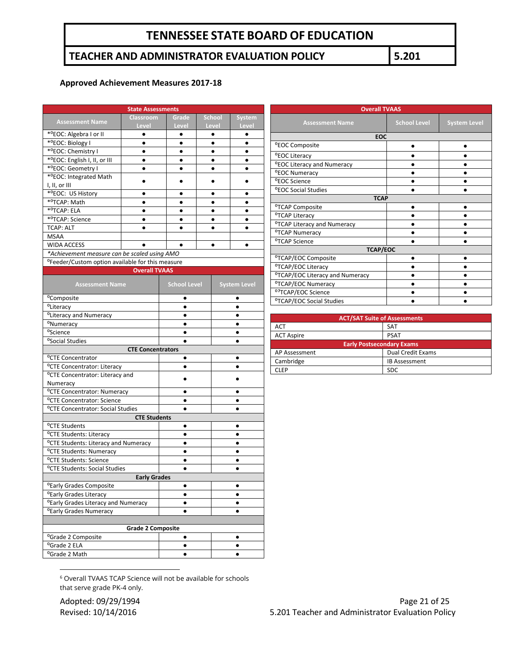### **TEACHER AND ADMINISTRATOR EVALUATION POLICY 5.201**

#### **Approved Achievement Measures 2017-18**

| <b>State Assessments</b>                                     |                          |                     |               |                     |
|--------------------------------------------------------------|--------------------------|---------------------|---------------|---------------------|
|                                                              | <b>Classroom</b>         | Grade               | <b>School</b> | <b>System</b>       |
| <b>Assessment Name</b>                                       | Level                    | Level               | Level         | Level               |
| * <sup>o</sup> EOC: Algebra I or II                          | $\bullet$                | ٠                   | ٠             | ٠                   |
| * <sup>o</sup> EOC: Biology I                                | ٠                        | ٠                   | $\bullet$     | ٠                   |
| * <sup>o</sup> EOC: Chemistry I                              |                          |                     | ٠             | ٠                   |
| *°EOC: English I, II, or III                                 | ٠                        |                     | $\bullet$     | $\bullet$           |
| * <sup>o</sup> EOC: Geometry I                               |                          |                     | $\bullet$     |                     |
| * <sup>o</sup> EOC: Integrated Math                          |                          |                     |               |                     |
| I, II, or III                                                |                          |                     |               |                     |
| *ºEOC: US History                                            | $\bullet$                | ٠                   | $\bullet$     | ٠                   |
| * <sup>o</sup> TCAP: Math                                    | ٠                        | $\bullet$           | ٠             | ٠                   |
| * <sup>o</sup> TCAP: ELA                                     |                          |                     | ٠             |                     |
| * <sup>o</sup> TCAP: Science                                 |                          |                     |               | $\bullet$           |
| <b>TCAP: ALT</b>                                             |                          |                     | ٠             |                     |
| MSAA                                                         |                          |                     |               |                     |
| <b>WIDA ACCESS</b>                                           |                          |                     |               | ٠                   |
| *Achievement measure can be scaled using AMO                 |                          |                     |               |                     |
| <sup>o</sup> Feeder/Custom option available for this measure |                          |                     |               |                     |
|                                                              | <b>Overall TVAAS</b>     |                     |               |                     |
| <b>Assessment Name</b>                                       |                          | <b>School Level</b> |               | <b>System Level</b> |
|                                                              |                          |                     |               |                     |
| <sup>o</sup> Composite                                       |                          | ٠                   |               | ٠                   |
| <sup>o</sup> Literacy                                        |                          |                     |               |                     |
| <sup>o</sup> Literacy and Numeracy                           |                          |                     |               |                     |
| <sup>o</sup> Numeracy                                        |                          | ٠                   |               |                     |
| <sup>o</sup> Science                                         |                          | $\bullet$           |               | ٠                   |
| <sup>o</sup> Social Studies                                  |                          | ٠                   |               | $\bullet$           |
|                                                              | <b>CTE Concentrators</b> |                     |               |                     |
| <sup>o</sup> CTE Concentrator                                |                          | $\bullet$           |               |                     |
| <sup>o</sup> CTE Concentrator: Literacy                      |                          |                     |               |                     |
| <sup>o</sup> CTE Concentrator: Literacy and                  |                          |                     |               |                     |
| Numeracy                                                     |                          |                     |               |                     |
| <sup>o</sup> CTE Concentrator: Numeracy                      |                          | ٠                   |               |                     |
| <sup>o</sup> CTE Concentrator: Science                       |                          |                     |               |                     |
| <sup>o</sup> CTE Concentrator: Social Studies                |                          | $\bullet$           |               | $\bullet$           |
| <b>CTE Students</b>                                          |                          |                     |               |                     |
| <sup>o</sup> CTE Students                                    |                          | ٠                   |               |                     |
| <sup>o</sup> CTE Students: Literacy                          |                          |                     |               |                     |
| <sup>o</sup> CTE Students: Literacy and Numeracy             |                          | $\bullet$           |               | $\bullet$           |
| <sup>o</sup> CTE Students: Numeracy                          |                          | $\bullet$           |               | $\bullet$           |
| <sup>o</sup> CTE Students: Science                           |                          |                     |               |                     |
| <sup>o</sup> CTE Students: Social Studies                    |                          |                     |               |                     |
|                                                              | <b>Early Grades</b>      |                     |               |                     |
| <sup>o</sup> Early Grades Composite                          |                          | $\bullet$           |               |                     |
| <sup>o</sup> Early Grades Literacy                           |                          |                     |               |                     |
| <sup>o</sup> Early Grades Literacy and Numeracy              |                          | $\bullet$           |               | ٠                   |
| <sup>o</sup> Early Grades Numeracy                           |                          | ٠                   |               |                     |
|                                                              |                          |                     |               |                     |
| <b>Grade 2 Composite</b>                                     |                          |                     |               |                     |
| <sup>o</sup> Grade 2 Composite                               |                          | ٠                   |               |                     |
| <sup>o</sup> Grade 2 ELA                                     |                          | $\bullet$           |               |                     |
| <sup>o</sup> Grade 2 Math                                    |                          | $\bullet$           |               |                     |

| <b>Overall TVAAS</b>                        |                     |                     |  |
|---------------------------------------------|---------------------|---------------------|--|
| <b>Assessment Name</b>                      | <b>School Level</b> | <b>System Level</b> |  |
| EOC                                         |                     |                     |  |
| <sup>o</sup> EOC Composite                  |                     |                     |  |
| <sup>o</sup> EOC Literacy                   |                     |                     |  |
| <sup>o</sup> EOC Literacy and Numeracy      |                     |                     |  |
| <b><i>OEOC</i></b> Numeracy                 |                     |                     |  |
| <b><i>PEOC Science</i></b>                  |                     |                     |  |
| <b><i>ºEOC Social Studies</i></b>           |                     |                     |  |
| <b>TCAP</b>                                 |                     |                     |  |
| <sup>o</sup> TCAP Composite                 |                     |                     |  |
| <sup>o</sup> TCAP Literacy                  |                     |                     |  |
| <sup>o</sup> TCAP Literacy and Numeracy     |                     |                     |  |
| <sup>o</sup> TCAP Numeracy                  |                     |                     |  |
| <sup>o</sup> TCAP Science                   |                     |                     |  |
| <b>TCAP/EOC</b>                             |                     |                     |  |
| <sup>o</sup> TCAP/EOC Composite             |                     |                     |  |
| <sup>o</sup> TCAP/EOC Literacy              |                     |                     |  |
| <sup>o</sup> TCAP/EOC Literacy and Numeracy |                     |                     |  |
| <sup>o</sup> TCAP/EOC Numeracy              |                     |                     |  |
| <sup>o</sup> <sup>7</sup> TCAP/EOC Science  |                     |                     |  |
| <sup>o</sup> TCAP/EOC Social Studies        |                     |                     |  |

| <b>ACT/SAT Suite of Assessments</b> |                      |  |
|-------------------------------------|----------------------|--|
| ACT                                 | <b>SAT</b>           |  |
| <b>ACT Aspire</b>                   | <b>PSAT</b>          |  |
| <b>Early Postsecondary Exams</b>    |                      |  |
| AP Assessment                       | Dual Credit Exams    |  |
| Cambridge                           | <b>IB Assessment</b> |  |
| ∩ FP                                | <b>SDC</b>           |  |

 $\overline{\phantom{a}}$ 

<span id="page-20-0"></span><sup>6</sup> Overall TVAAS TCAP Science will not be available for schools that serve grade PK-4 only.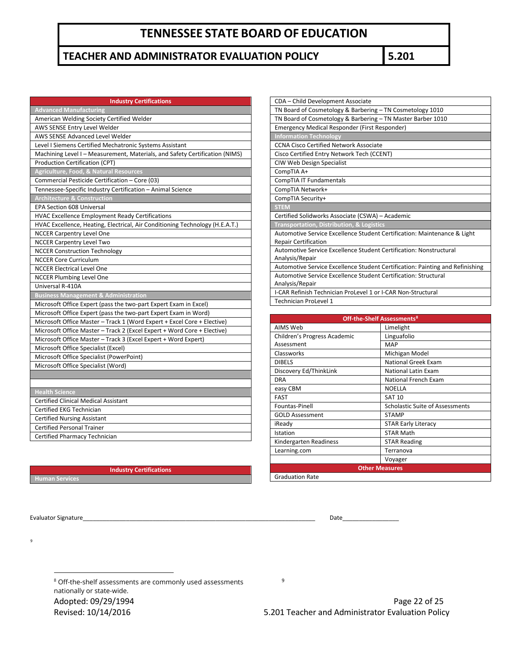### **TEACHER AND ADMINISTRATOR EVALUATION POLICY 5.201**

| <b>Industry Certifications</b>                                               |
|------------------------------------------------------------------------------|
| <b>Advanced Manufacturing</b>                                                |
| American Welding Society Certified Welder                                    |
| AWS SENSE Entry Level Welder                                                 |
| AWS SENSE Advanced Level Welder                                              |
| Level I Siemens Certified Mechatronic Systems Assistant                      |
| Machining Level I - Measurement, Materials, and Safety Certification (NIMS)  |
| Production Certification (CPT)                                               |
| <b>Agriculture, Food, &amp; Natural Resources</b>                            |
| Commercial Pesticide Certification - Core (03)                               |
| Tennessee-Specific Industry Certification - Animal Science                   |
| <b>Architecture &amp; Construction</b>                                       |
| <b>EPA Section 608 Universal</b>                                             |
| HVAC Excellence Employment Ready Certifications                              |
| HVAC Excellence, Heating, Electrical, Air Conditioning Technology (H.E.A.T.) |
| <b>NCCER Carpentry Level One</b>                                             |
| <b>NCCER Carpentry Level Two</b>                                             |
| <b>NCCER Construction Technology</b>                                         |
| <b>NCCER Core Curriculum</b>                                                 |
| <b>NCCER Electrical Level One</b>                                            |
| <b>NCCER Plumbing Level One</b>                                              |
| Universal R-410A                                                             |
| <b>Business Management &amp; Administration</b>                              |
| Microsoft Office Expert (pass the two-part Expert Exam in Excel)             |
| Microsoft Office Expert (pass the two-part Expert Exam in Word)              |
| Microsoft Office Master - Track 1 (Word Expert + Excel Core + Elective)      |
| Microsoft Office Master - Track 2 (Excel Expert + Word Core + Elective)      |
| Microsoft Office Master - Track 3 (Excel Expert + Word Expert)               |
| Microsoft Office Specialist (Excel)                                          |
| Microsoft Office Specialist (PowerPoint)                                     |
| Microsoft Office Specialist (Word)                                           |
|                                                                              |
|                                                                              |
| <b>Health Science</b><br><b>Certified Clinical Medical Assistant</b>         |
| Certified EKG Technician                                                     |
| <b>Certified Nursing Assistant</b>                                           |
| <b>Certified Personal Trainer</b>                                            |
| Certified Pharmacy Technician                                                |
|                                                                              |

| CDA - Child Development Associate                                             |
|-------------------------------------------------------------------------------|
| TN Board of Cosmetology & Barbering - TN Cosmetology 1010                     |
| TN Board of Cosmetology & Barbering - TN Master Barber 1010                   |
| Emergency Medical Responder (First Responder)                                 |
| <b>Information Technology</b>                                                 |
| <b>CCNA Cisco Certified Network Associate</b>                                 |
| Cisco Certified Entry Network Tech (CCENT)                                    |
| CIW Web Design Specialist                                                     |
| CompTIA A+                                                                    |
| CompTIA IT Fundamentals                                                       |
| CompTIA Network+                                                              |
| CompTIA Security+                                                             |
| <b>STEM</b>                                                                   |
| Certified Solidworks Associate (CSWA) - Academic                              |
| <b>Transportation, Distribution, &amp; Logistics</b>                          |
| Automotive Service Excellence Student Certification: Maintenance & Light      |
| <b>Repair Certification</b>                                                   |
| Automotive Service Excellence Student Certification: Nonstructural            |
| Analysis/Repair                                                               |
| Automotive Service Excellence Student Certification: Painting and Refinishing |
| Automotive Service Excellence Student Certification: Structural               |
| Analysis/Repair                                                               |
| I-CAR Refinish Technician ProLevel 1 or I-CAR Non-Structural                  |
| <b>Technician ProLevel 1</b>                                                  |

| <b>Off-the-Shelf Assessments<sup>8</sup></b> |                                        |  |  |
|----------------------------------------------|----------------------------------------|--|--|
| AIMS Web                                     | Limelight                              |  |  |
| Children's Progress Academic                 | Linguafolio                            |  |  |
| Assessment                                   | <b>MAP</b>                             |  |  |
| Classworks                                   | Michigan Model                         |  |  |
| <b>DIBELS</b>                                | National Greek Exam                    |  |  |
| Discovery Ed/ThinkLink                       | <b>National Latin Exam</b>             |  |  |
| <b>DRA</b>                                   | National French Exam                   |  |  |
| easy CBM                                     | <b>NOELLA</b>                          |  |  |
| <b>FAST</b>                                  | <b>SAT 10</b>                          |  |  |
| Fountas-Pinell                               | <b>Scholastic Suite of Assessments</b> |  |  |
| <b>GOLD Assessment</b>                       | <b>STAMP</b>                           |  |  |
| iReady                                       | <b>STAR Early Literacy</b>             |  |  |
| Istation                                     | <b>STAR Math</b>                       |  |  |
| Kindergarten Readiness                       | <b>STAR Reading</b>                    |  |  |
| Learning.com                                 | Terranova                              |  |  |
|                                              | Voyager                                |  |  |
|                                              | <b>Other Measures</b>                  |  |  |
| <b>Graduation Rate</b>                       |                                        |  |  |

**Human Services**

**Industry Certifications**

Evaluator Signature\_\_\_\_\_\_\_\_\_\_\_\_\_\_\_\_\_\_\_\_\_\_\_\_\_\_\_\_\_\_\_\_\_\_\_\_\_\_\_\_\_\_\_\_\_\_\_\_\_\_\_\_\_\_\_\_\_\_\_\_\_\_\_\_\_\_\_\_\_\_ Date\_\_\_\_\_\_\_\_\_\_\_\_\_\_\_\_\_

l

<span id="page-21-0"></span>[9](#page-21-0)

9

Adopted: 09/29/1994 **Page 22 of 25** <sup>8</sup> Off-the-shelf assessments are commonly used assessments nationally or state-wide.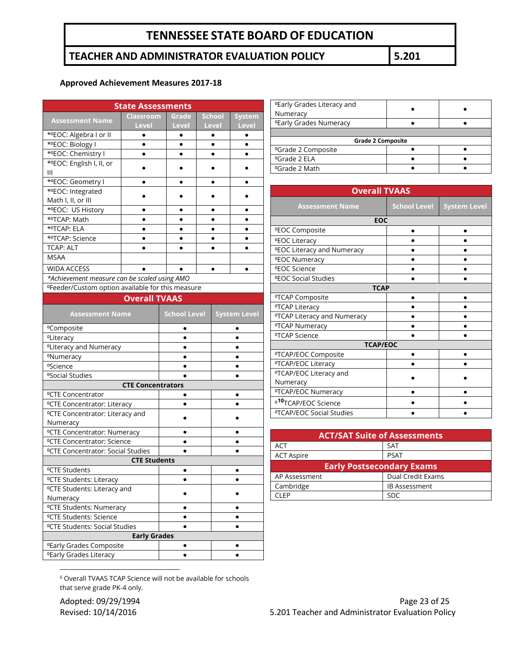### **TEACHER AND ADMINISTRATOR EVALUATION POLICY 5.201**

#### **Approved Achievement Measures 2017-18**

| <b>State Assessments</b>                                                  |                      |           |               |               |  |
|---------------------------------------------------------------------------|----------------------|-----------|---------------|---------------|--|
|                                                                           | <b>Classroom</b>     | Grade     | <b>School</b> | <b>System</b> |  |
| <b>Assessment Name</b>                                                    | <b>Level</b>         | Level     | Level         | <b>Level</b>  |  |
| *ºEOC: Algebra I or II                                                    | $\bullet$            |           |               | ٠             |  |
| *ºEOC: Biology I                                                          |                      |           |               |               |  |
| * <sup>o</sup> EOC: Chemistry I                                           | $\bullet$            |           |               | ٠             |  |
| *ºEOC: English I, II, or                                                  |                      |           |               |               |  |
| Ш                                                                         |                      |           |               |               |  |
| *ºEOC: Geometry I                                                         |                      |           |               |               |  |
| *ºEOC: Integrated                                                         |                      |           |               |               |  |
| Math I, II, or III                                                        |                      |           |               |               |  |
| *ºEOC: US History                                                         |                      |           |               |               |  |
| *ºTCAP: Math                                                              |                      |           |               |               |  |
| * <sup>o</sup> TCAP: ELA                                                  |                      |           |               |               |  |
| *ºTCAP: Science                                                           | $\bullet$            | $\bullet$ | $\bullet$     | $\bullet$     |  |
| <b>TCAP: ALT</b>                                                          | $\bullet$            |           |               | $\bullet$     |  |
| <b>MSAA</b>                                                               |                      |           |               |               |  |
|                                                                           |                      |           |               |               |  |
| <b>WIDA ACCESS</b>                                                        |                      |           |               | ٠             |  |
| *Achievement measure can be scaled using AMO                              |                      |           |               |               |  |
| <sup>o</sup> Feeder/Custom option available for this measure              |                      |           |               |               |  |
|                                                                           | <b>Overall TVAAS</b> |           |               |               |  |
| <b>School Level</b><br><b>Assessment Name</b><br><b>System Level</b>      |                      |           |               |               |  |
| <sup>o</sup> Composite                                                    |                      |           |               |               |  |
| <sup>o</sup> Literacy                                                     |                      | $\bullet$ |               |               |  |
| <sup>o</sup> Literacy and Numeracy                                        |                      |           |               |               |  |
| °Numeracy                                                                 |                      |           |               |               |  |
| <sup>o</sup> Science                                                      |                      |           |               |               |  |
| <sup>o</sup> Social Studies                                               |                      |           |               |               |  |
| <b>CTE Concentrators</b>                                                  |                      |           |               |               |  |
| <sup>o</sup> CTE Concentrator                                             |                      |           |               |               |  |
| <sup>o</sup> CTE Concentrator: Literacy                                   |                      |           |               |               |  |
| <sup>o</sup> CTE Concentrator: Literacy and                               |                      |           |               |               |  |
| Numeracy                                                                  |                      |           |               |               |  |
| <sup>o</sup> CTE Concentrator: Numeracy                                   |                      |           |               |               |  |
| <sup>o</sup> CTE Concentrator: Science                                    |                      |           |               |               |  |
| <sup>o</sup> CTE Concentrator: Social Studies                             |                      |           |               |               |  |
| <b>CTE Students</b>                                                       |                      |           |               |               |  |
| <sup>o</sup> CTE Students                                                 |                      |           |               |               |  |
| <sup>o</sup> CTE Students: Literacy                                       |                      |           |               |               |  |
| <sup>o</sup> CTE Students: Literacy and                                   |                      |           |               |               |  |
| Numeracy                                                                  |                      |           |               |               |  |
|                                                                           |                      |           |               |               |  |
| <sup>o</sup> CTE Students: Numeracy<br><sup>o</sup> CTE Students: Science |                      |           |               |               |  |
|                                                                           |                      |           |               |               |  |
| <sup>o</sup> CTE Students: Social Studies                                 |                      |           |               |               |  |
|                                                                           | <b>Early Grades</b>  |           |               |               |  |
| <sup>o</sup> Early Grades Composite<br>$\bullet$                          |                      |           |               |               |  |

| <b><i>OEarly Grades Literacy and</i></b><br>Numeracy |  |
|------------------------------------------------------|--|
| <b><i>OEarly Grades Numeracy</i></b>                 |  |
|                                                      |  |
| <b>Grade 2 Composite</b>                             |  |
| <sup>o</sup> Grade 2 Composite                       |  |
| <sup>o</sup> Grade 2 ELA                             |  |
|                                                      |  |

| <b>Overall TVAAS</b>                     |                     |                     |  |
|------------------------------------------|---------------------|---------------------|--|
|                                          |                     |                     |  |
| <b>Assessment Name</b>                   | <b>School Level</b> | <b>System Level</b> |  |
| <b>EOC</b>                               |                     |                     |  |
| <b><i>ºEOC Composite</i></b>             |                     |                     |  |
| <b><i>OEOC Literacy</i></b>              |                     |                     |  |
| <b><i>OEOC Literacy and Numeracy</i></b> |                     |                     |  |
| <b><i>OEOC Numeracy</i></b>              |                     |                     |  |
| <b><i>ºEOC Science</i></b>               |                     |                     |  |
| <b><i>ºEOC Social Studies</i></b>        |                     |                     |  |
| <b>TCAP</b>                              |                     |                     |  |
| <sup>o</sup> TCAP Composite              |                     |                     |  |
| <sup>o</sup> TCAP Literacy               |                     |                     |  |
| <sup>o</sup> TCAP Literacy and Numeracy  |                     |                     |  |
| <sup>o</sup> TCAP Numeracy               |                     |                     |  |
| <sup>o</sup> TCAP Science                |                     |                     |  |
| <b>TCAP/EOC</b>                          |                     |                     |  |
| <sup>o</sup> TCAP/EOC Composite          |                     |                     |  |
| <sup>o</sup> TCAP/EOC Literacy           |                     |                     |  |
| <sup>o</sup> TCAP/EOC Literacy and       |                     |                     |  |
| Numeracy                                 |                     |                     |  |
| <sup>o</sup> TCAP/EOC Numeracy           |                     |                     |  |
| <sup>010</sup> TCAP/EOC Science          |                     |                     |  |
| <sup>o</sup> TCAP/EOC Social Studies     |                     |                     |  |

| <b>ACT/SAT Suite of Assessments</b> |                      |  |
|-------------------------------------|----------------------|--|
| <b>ACT</b>                          | <b>SAT</b>           |  |
| <b>ACT Aspire</b>                   | <b>PSAT</b>          |  |
| <b>Early Postsecondary Exams</b>    |                      |  |
| AP Assessment                       | Dual Credit Exams    |  |
| Cambridge                           | <b>IB Assessment</b> |  |
| CI EP                               | <b>SDC</b>           |  |

<sup>6</sup> Overall TVAAS TCAP Science will not be available for schools that serve grade PK-4 only.

<span id="page-22-0"></span>⁰Early Grades Literacy ● ●

 $\overline{\phantom{a}}$